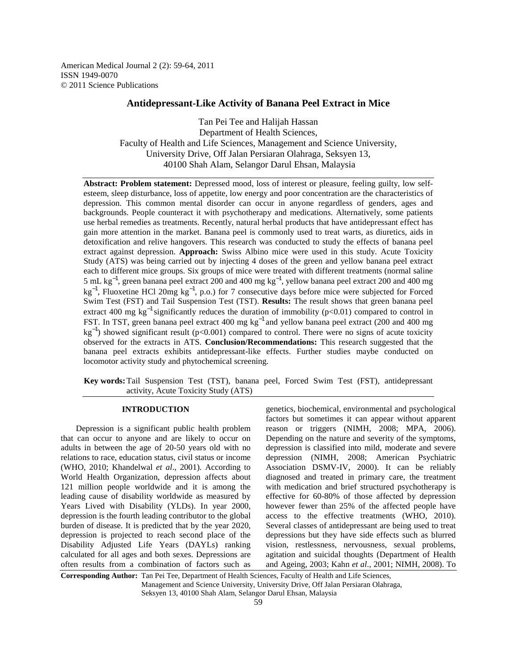American Medical Journal 2 (2): 59-64, 2011 ISSN 1949-0070 © 2011 Science Publications

# **Antidepressant-Like Activity of Banana Peel Extract in Mice**

Tan Pei Tee and Halijah Hassan Department of Health Sciences, Faculty of Health and Life Sciences, Management and Science University, University Drive, Off Jalan Persiaran Olahraga, Seksyen 13, 40100 Shah Alam, Selangor Darul Ehsan, Malaysia

**Abstract: Problem statement:** Depressed mood, loss of interest or pleasure, feeling guilty, low selfesteem, sleep disturbance, loss of appetite, low energy and poor concentration are the characteristics of depression. This common mental disorder can occur in anyone regardless of genders, ages and backgrounds. People counteract it with psychotherapy and medications. Alternatively, some patients use herbal remedies as treatments. Recently, natural herbal products that have antidepressant effect has gain more attention in the market. Banana peel is commonly used to treat warts, as diuretics, aids in detoxification and relive hangovers. This research was conducted to study the effects of banana peel extract against depression. **Approach:** Swiss Albino mice were used in this study. Acute Toxicity Study (ATS) was being carried out by injecting 4 doses of the green and yellow banana peel extract each to different mice groups. Six groups of mice were treated with different treatments (normal saline 5 mL kg−1, green banana peel extract 200 and 400 mg kg−1, yellow banana peel extract 200 and 400 mg kg<sup>-1</sup>, Fluoxetine HCl 20mg kg<sup>-1</sup>, p.o.) for 7 consecutive days before mice were subjected for Forced Swim Test (FST) and Tail Suspension Test (TST). **Results:** The result shows that green banana peel extract 400 mg kg<sup>-1</sup> significantly reduces the duration of immobility (p<0.01) compared to control in FST. In TST, green banana peel extract 400 mg kg−1 and yellow banana peel extract (200 and 400 mg  $kg^{-1}$ ) showed significant result (p<0.001) compared to control. There were no signs of acute toxicity observed for the extracts in ATS. **Conclusion/Recommendations:** This research suggested that the banana peel extracts exhibits antidepressant-like effects. Further studies maybe conducted on locomotor activity study and phytochemical screening.

**Key words:** Tail Suspension Test (TST), banana peel, Forced Swim Test (FST), antidepressant activity, Acute Toxicity Study (ATS)

# **INTRODUCTION**

 Depression is a significant public health problem that can occur to anyone and are likely to occur on adults in between the age of 20-50 years old with no relations to race, education status, civil status or income (WHO, 2010; Khandelwal *et al*., 2001). According to World Health Organization, depression affects about 121 million people worldwide and it is among the leading cause of disability worldwide as measured by Years Lived with Disability (YLDs). In year 2000, depression is the fourth leading contributor to the global burden of disease. It is predicted that by the year 2020, depression is projected to reach second place of the Disability Adjusted Life Years (DAYLs) ranking calculated for all ages and both sexes. Depressions are often results from a combination of factors such as

genetics, biochemical, environmental and psychological factors but sometimes it can appear without apparent reason or triggers (NIMH, 2008; MPA, 2006). Depending on the nature and severity of the symptoms, depression is classified into mild, moderate and severe depression (NIMH, 2008; American Psychiatric Association DSMV-IV, 2000). It can be reliably diagnosed and treated in primary care, the treatment with medication and brief structured psychotherapy is effective for 60-80% of those affected by depression however fewer than 25% of the affected people have access to the effective treatments (WHO, 2010). Several classes of antidepressant are being used to treat depressions but they have side effects such as blurred vision, restlessness, nervousness, sexual problems, agitation and suicidal thoughts (Department of Health and Ageing, 2003; Kahn *et al*., 2001; NIMH, 2008). To

**Corresponding Author:** Tan Pei Tee, Department of Health Sciences, Faculty of Health and Life Sciences, Management and Science University, University Drive, Off Jalan Persiaran Olahraga, Seksyen 13, 40100 Shah Alam, Selangor Darul Ehsan, Malaysia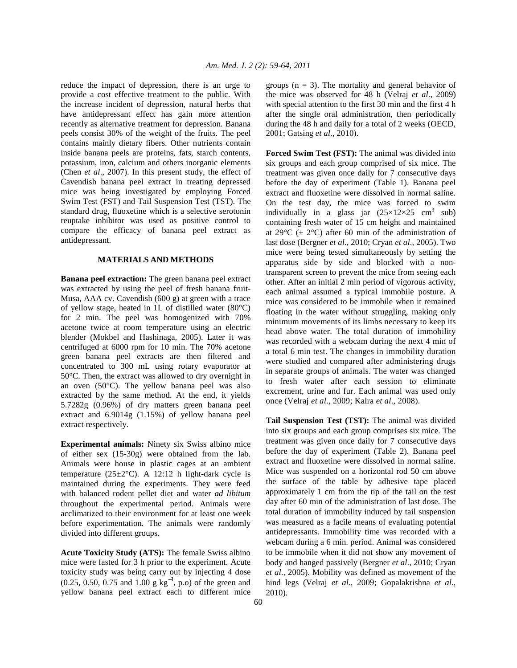reduce the impact of depression, there is an urge to provide a cost effective treatment to the public. With the increase incident of depression, natural herbs that have antidepressant effect has gain more attention recently as alternative treatment for depression. Banana peels consist 30% of the weight of the fruits. The peel contains mainly dietary fibers. Other nutrients contain inside banana peels are proteins, fats, starch contents, potassium, iron, calcium and others inorganic elements (Chen *et al*., 2007). In this present study, the effect of Cavendish banana peel extract in treating depressed mice was being investigated by employing Forced Swim Test (FST) and Tail Suspension Test (TST). The standard drug, fluoxetine which is a selective serotonin reuptake inhibitor was used as positive control to compare the efficacy of banana peel extract as antidepressant.

# **MATERIALS AND METHODS**

**Banana peel extraction:** The green banana peel extract was extracted by using the peel of fresh banana fruit-Musa, AAA cv. Cavendish (600 g) at green with a trace of yellow stage, heated in 1L of distilled water (80°C) for 2 min. The peel was homogenized with 70% acetone twice at room temperature using an electric blender (Mokbel and Hashinaga, 2005). Later it was centrifuged at 6000 rpm for 10 min. The 70% acetone green banana peel extracts are then filtered and concentrated to 300 mL using rotary evaporator at 50°C. Then, the extract was allowed to dry overnight in an oven (50°C). The yellow banana peel was also extracted by the same method. At the end, it yields 5.7282g (0.96%) of dry matters green banana peel extract and 6.9014g (1.15%) of yellow banana peel extract respectively.

**Experimental animals:** Ninety six Swiss albino mice of either sex (15-30g) were obtained from the lab. Animals were house in plastic cages at an ambient temperature  $(25\pm2\degree C)$ . A 12:12 h light-dark cycle is maintained during the experiments. They were feed with balanced rodent pellet diet and water *ad libitum* throughout the experimental period. Animals were acclimatized to their environment for at least one week before experimentation. The animals were randomly divided into different groups.

**Acute Toxicity Study (ATS):** The female Swiss albino mice were fasted for 3 h prior to the experiment. Acute toxicity study was being carry out by injecting 4 dose (0.25, 0.50, 0.75 and 1.00 g  $kg^{-1}$ , p.o) of the green and yellow banana peel extract each to different mice groups  $(n = 3)$ . The mortality and general behavior of the mice was observed for 48 h (Velraj *et al*., 2009) with special attention to the first 30 min and the first 4 h after the single oral administration, then periodically during the 48 h and daily for a total of 2 weeks (OECD, 2001; Gatsing *et al*., 2010).

**Forced Swim Test (FST):** The animal was divided into six groups and each group comprised of six mice. The treatment was given once daily for 7 consecutive days before the day of experiment (Table 1). Banana peel extract and fluoxetine were dissolved in normal saline. On the test day, the mice was forced to swim individually in a glass jar  $(25\times12\times25 \text{ cm}^3 \text{ sub})$ containing fresh water of 15 cm height and maintained at 29 $^{\circ}$ C ( $\pm$  2 $^{\circ}$ C) after 60 min of the administration of last dose (Bergner *et al*., 2010; Cryan *et al*., 2005). Two mice were being tested simultaneously by setting the apparatus side by side and blocked with a nontransparent screen to prevent the mice from seeing each other. After an initial 2 min period of vigorous activity, each animal assumed a typical immobile posture. A mice was considered to be immobile when it remained floating in the water without struggling, making only minimum movements of its limbs necessary to keep its head above water. The total duration of immobility was recorded with a webcam during the next 4 min of a total 6 min test. The changes in immobility duration were studied and compared after administering drugs in separate groups of animals. The water was changed to fresh water after each session to eliminate excrement, urine and fur. Each animal was used only once (Velraj *et al*., 2009; Kalra *et al*., 2008).

**Tail Suspension Test (TST):** The animal was divided into six groups and each group comprises six mice. The treatment was given once daily for 7 consecutive days before the day of experiment (Table 2). Banana peel extract and fluoxetine were dissolved in normal saline. Mice was suspended on a horizontal rod 50 cm above the surface of the table by adhesive tape placed approximately 1 cm from the tip of the tail on the test day after 60 min of the administration of last dose. The total duration of immobility induced by tail suspension was measured as a facile means of evaluating potential antidepressants. Immobility time was recorded with a webcam during a 6 min. period. Animal was considered to be immobile when it did not show any movement of body and hanged passively (Bergner *et al*., 2010; Cryan *et al*., 2005). Mobility was defined as movement of the hind legs (Velraj *et al*., 2009; Gopalakrishna *et al*., 2010).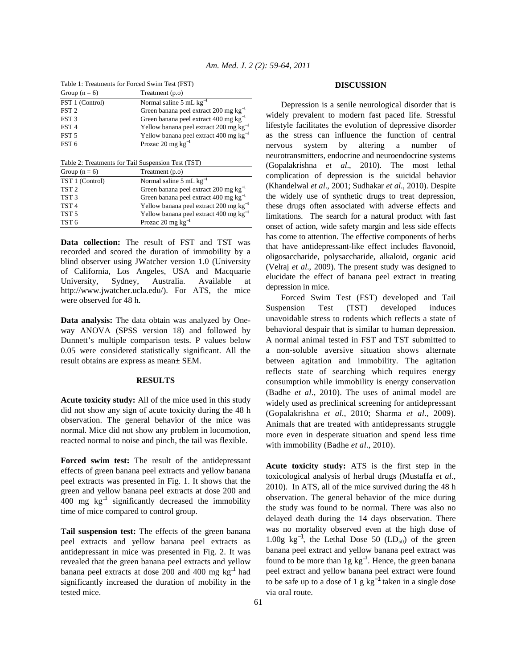| Table 1: Treatments for Forced Swim Test (FST) |                                                   |  |
|------------------------------------------------|---------------------------------------------------|--|
| Group $(n = 6)$                                | Treatment (p.o)                                   |  |
| FST 1 (Control)                                | Normal saline 5 mL $kg^{-1}$                      |  |
| FST <sub>2</sub>                               | Green banana peel extract 200 mg $kg^{-1}$        |  |
| FST <sub>3</sub>                               | Green banana peel extract 400 mg kg <sup>-1</sup> |  |
| FST <sub>4</sub>                               | Yellow banana peel extract 200 mg $kg^{-1}$       |  |
| FST <sub>5</sub>                               | Yellow banana peel extract 400 mg $kg^{-1}$       |  |
| FST <sub>6</sub>                               | Prozac 20 mg $kg^{-1}$                            |  |

| Table 2: Treatments for Tail Suspension Test (TST) |                                             |  |
|----------------------------------------------------|---------------------------------------------|--|
| Group $(n = 6)$                                    | Treatment (p.o)                             |  |
| TST 1 (Control)                                    | Normal saline 5 mL $kg^{-1}$                |  |
| TST <sub>2</sub>                                   | Green banana peel extract 200 mg $kg^{-1}$  |  |
| TST <sub>3</sub>                                   | Green banana peel extract 400 mg $kg^{-1}$  |  |
| TST <sub>4</sub>                                   | Yellow banana peel extract 200 mg $kg^{-1}$ |  |
| TST <sub>5</sub>                                   | Yellow banana peel extract 400 mg $kg^{-1}$ |  |
| TST <sub>6</sub>                                   | Prozac 20 mg $kg^{-1}$                      |  |

**Data collection:** The result of FST and TST was recorded and scored the duration of immobility by a blind observer using JWatcher version 1.0 (University of California, Los Angeles, USA and Macquarie University, Sydney, Australia. Available at http://www.jwatcher.ucla.edu/). For ATS, the mice were observed for 48 h.

**Data analysis:** The data obtain was analyzed by Oneway ANOVA (SPSS version 18) and followed by Dunnett's multiple comparison tests. P values below 0.05 were considered statistically significant. All the result obtains are express as mean± SEM.

## **RESULTS**

**Acute toxicity study:** All of the mice used in this study did not show any sign of acute toxicity during the 48 h observation. The general behavior of the mice was normal. Mice did not show any problem in locomotion, reacted normal to noise and pinch, the tail was flexible.

**Forced swim test:** The result of the antidepressant effects of green banana peel extracts and yellow banana peel extracts was presented in Fig. 1. It shows that the green and yellow banana peel extracts at dose 200 and 400 mg  $kg^{-1}$  significantly decreased the immobility time of mice compared to control group.

**Tail suspension test:** The effects of the green banana peel extracts and yellow banana peel extracts as antidepressant in mice was presented in Fig. 2. It was revealed that the green banana peel extracts and yellow banana peel extracts at dose 200 and 400 mg kg<sup>-1</sup> had significantly increased the duration of mobility in the tested mice.

## **DISCUSSION**

 Depression is a senile neurological disorder that is widely prevalent to modern fast paced life. Stressful lifestyle facilitates the evolution of depressive disorder as the stress can influence the function of central nervous system by altering a number of neurotransmitters, endocrine and neuroendocrine systems (Gopalakrishna *et al*., 2010). The most lethal complication of depression is the suicidal behavior (Khandelwal *et al*., 2001; Sudhakar *et al*., 2010). Despite the widely use of synthetic drugs to treat depression, these drugs often associated with adverse effects and limitations. The search for a natural product with fast onset of action, wide safety margin and less side effects has come to attention. The effective components of herbs that have antidepressant-like effect includes flavonoid, oligosaccharide, polysaccharide, alkaloid, organic acid (Velraj *et al*., 2009). The present study was designed to elucidate the effect of banana peel extract in treating depression in mice.

 Forced Swim Test (FST) developed and Tail Suspension Test (TST) developed induces unavoidable stress to rodents which reflects a state of behavioral despair that is similar to human depression. A normal animal tested in FST and TST submitted to a non-soluble aversive situation shows alternate between agitation and immobility. The agitation reflects state of searching which requires energy consumption while immobility is energy conservation (Badhe *et al*., 2010). The uses of animal model are widely used as preclinical screening for antidepressant (Gopalakrishna *et al*., 2010; Sharma *et al*., 2009). Animals that are treated with antidepressants struggle more even in desperate situation and spend less time with immobility (Badhe *et al*., 2010).

**Acute toxicity study:** ATS is the first step in the toxicological analysis of herbal drugs (Mustaffa *et al*., 2010). In ATS, all of the mice survived during the 48 h observation. The general behavior of the mice during the study was found to be normal. There was also no delayed death during the 14 days observation. There was no mortality observed even at the high dose of 1.00g kg<sup>-1</sup>, the Lethal Dose 50 (LD<sub>50</sub>) of the green banana peel extract and yellow banana peel extract was found to be more than  $1g kg^{-1}$ . Hence, the green banana peel extract and yellow banana peel extract were found to be safe up to a dose of 1 g  $kg^{-1}$  taken in a single dose via oral route.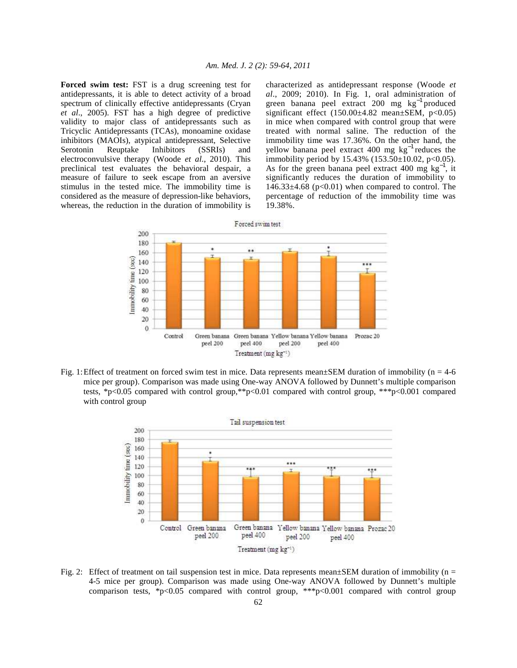**Forced swim test:** FST is a drug screening test for antidepressants, it is able to detect activity of a broad spectrum of clinically effective antidepressants (Cryan *et al*., 2005). FST has a high degree of predictive validity to major class of antidepressants such as Tricyclic Antidepressants (TCAs), monoamine oxidase inhibitors (MAOIs), atypical antidepressant, Selective<br>Serotonin Reuptake Inhibitors (SSRIs) and Serotonin Reuptake Inhibitors (SSRIs) and electroconvulsive therapy (Woode *et al*., 2010). This preclinical test evaluates the behavioral despair, a measure of failure to seek escape from an aversive stimulus in the tested mice. The immobility time is considered as the measure of depression-like behaviors, whereas, the reduction in the duration of immobility is characterized as antidepressant response (Woode *et al*., 2009; 2010). In Fig. 1, oral administration of green banana peel extract 200 mg kg−1 produced significant effect  $(150.00\pm4.82 \text{ mean}\pm\text{SEM}$ ,  $p<0.05)$ in mice when compared with control group that were treated with normal saline. The reduction of the immobility time was 17.36%. On the other hand, the yellow banana peel extract 400 mg  $kg^{-1}$  reduces the immobility period by  $15.43\%$  ( $153.50\pm10.02$ ,  $p<0.05$ ). As for the green banana peel extract 400 mg  $kg^{-1}$ , it significantly reduces the duration of immobility to  $146.33\pm4.68$  ( $p<0.01$ ) when compared to control. The percentage of reduction of the immobility time was 19.38%.



Fig. 1: Effect of treatment on forced swim test in mice. Data represents mean±SEM duration of immobility (n = 4-6 mice per group). Comparison was made using One-way ANOVA followed by Dunnett's multiple comparison tests, \*p<0.05 compared with control group,\*\*p<0.01 compared with control group, \*\*\*p<0.001 compared with control group



Fig. 2: Effect of treatment on tail suspension test in mice. Data represents mean $\pm$ SEM duration of immobility (n = 4-5 mice per group). Comparison was made using One-way ANOVA followed by Dunnett's multiple comparison tests, \*p<0.05 compared with control group, \*\*\*p<0.001 compared with control group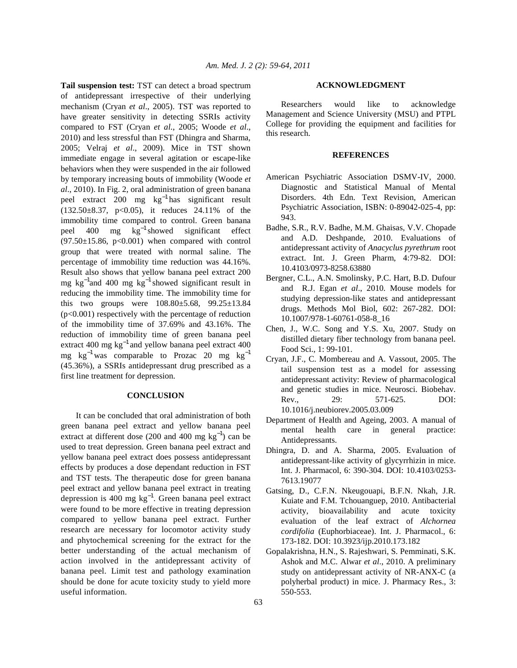**Tail suspension test:** TST can detect a broad spectrum of antidepressant irrespective of their underlying mechanism (Cryan *et al*., 2005). TST was reported to have greater sensitivity in detecting SSRIs activity compared to FST (Cryan *et al*., 2005; Woode *et al*., 2010) and less stressful than FST (Dhingra and Sharma, 2005; Velraj *et al*., 2009). Mice in TST shown immediate engage in several agitation or escape-like behaviors when they were suspended in the air followed by temporary increasing bouts of immobility (Woode *et al*., 2010). In Fig. 2, oral administration of green banana peel extract 200 mg kg−1 has significant result (132.50±8.37, p<0.05), it reduces 24.11% of the immobility time compared to control. Green banana peel 400 mg kg−1 showed significant effect  $(97.50\pm15.86, p<0.001)$  when compared with control group that were treated with normal saline. The percentage of immobility time reduction was 44.16%. Result also shows that yellow banana peel extract 200 mg kg<sup>-1</sup>and 400 mg kg<sup>-1</sup> showed significant result in reducing the immobility time. The immobility time for this two groups were 108.80±5.68, 99.25±13.84 (p<0.001) respectively with the percentage of reduction of the immobility time of 37.69% and 43.16%. The reduction of immobility time of green banana peel extract 400 mg  $kg^{-1}$  and yellow banana peel extract 400 mg kg<sup>-1</sup> was comparable to Prozac 20 mg kg<sup>-1</sup> (45.36%), a SSRIs antidepressant drug prescribed as a first line treatment for depression.

# **CONCLUSION**

 It can be concluded that oral administration of both green banana peel extract and yellow banana peel extract at different dose (200 and 400 mg  $kg^{-1}$ ) can be used to treat depression. Green banana peel extract and yellow banana peel extract does possess antidepressant effects by produces a dose dependant reduction in FST and TST tests. The therapeutic dose for green banana peel extract and yellow banana peel extract in treating depression is 400 mg kg−1. Green banana peel extract were found to be more effective in treating depression compared to yellow banana peel extract. Further research are necessary for locomotor activity study and phytochemical screening for the extract for the better understanding of the actual mechanism of action involved in the antidepressant activity of banana peel. Limit test and pathology examination should be done for acute toxicity study to yield more useful information.

#### **ACKNOWLEDGMENT**

 Researchers would like to acknowledge Management and Science University (MSU) and PTPL College for providing the equipment and facilities for this research.

### **REFERENCES**

- American Psychiatric Association DSMV-IV, 2000. Diagnostic and Statistical Manual of Mental Disorders. 4th Edn. Text Revision, American Psychiatric Association, ISBN: 0-89042-025-4, pp: 943.
- Badhe, S.R., R.V. Badhe, M.M. Ghaisas, V.V. Chopade and A.D. Deshpande, 2010. Evaluations of antidepressant activity of *Anacyclus pyrethrum* root extract. Int. J. Green Pharm, 4:79-82. DOI: 10.4103/0973-8258.63880
- Bergner, C.L., A.N. Smolinsky, P.C. Hart, B.D. Dufour and R.J. Egan *et al*., 2010. Mouse models for studying depression-like states and antidepressant drugs. Methods Mol Biol, 602: 267-282. DOI: 10.1007/978-1-60761-058-8\_16
- Chen, J., W.C. Song and Y.S. Xu, 2007. Study on distilled dietary fiber technology from banana peel. Food Sci., 1: 99-101.
- Cryan, J.F., C. Mombereau and A. Vassout, 2005. The tail suspension test as a model for assessing antidepressant activity: Review of pharmacological and genetic studies in mice. Neurosci. Biobehav. Rev., 29: 571-625. DOI: 10.1016/j.neubiorev.2005.03.009
- Department of Health and Ageing, 2003. A manual of mental health care in general practice: Antidepressants.
- Dhingra, D. and A. Sharma, 2005. Evaluation of antidepressant-like activity of glycyrrhizin in mice. Int. J. Pharmacol, 6: 390-304. DOI: 10.4103/0253- 7613.19077
- Gatsing, D., C.F.N. Nkeugouapi, B.F.N. Nkah, J.R. Kuiate and F.M. Tchouanguep, 2010. Antibacterial activity, bioavailability and acute toxicity evaluation of the leaf extract of *Alchornea cordifolia* (Euphorbiaceae). Int. J. Pharmacol., 6: 173-182. DOI: 10.3923/ijp.2010.173.182
- Gopalakrishna, H.N., S. Rajeshwari, S. Pemminati, S.K. Ashok and M.C. Alwar *et al*., 2010. A preliminary study on antidepressant activity of NR-ANX-C (a polyherbal product) in mice. J. Pharmacy Res., 3: 550-553.